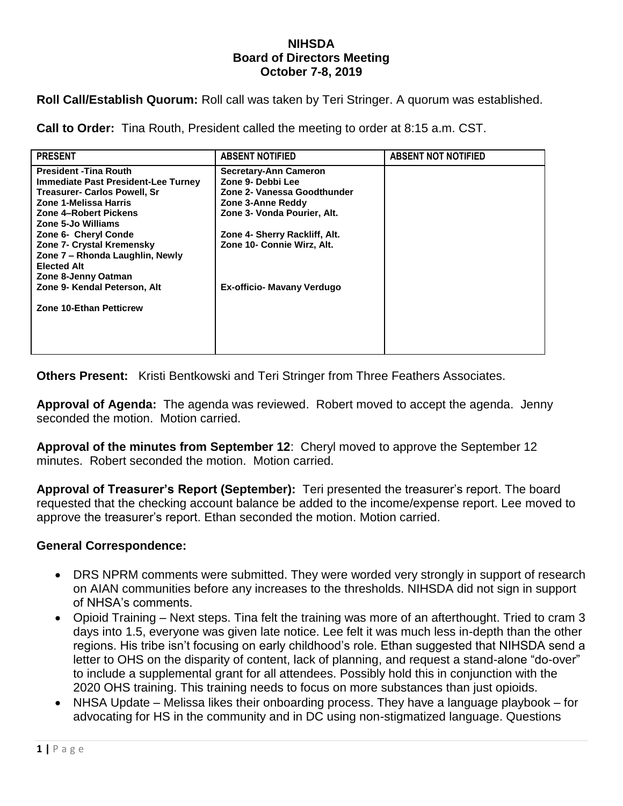#### **NIHSDA Board of Directors Meeting October 7-8, 2019**

**Roll Call/Establish Quorum:** Roll call was taken by Teri Stringer. A quorum was established.

**Call to Order:** Tina Routh, President called the meeting to order at 8:15 a.m. CST.

| <b>PRESENT</b>                      | <b>ABSENT NOTIFIED</b>        | <b>ABSENT NOT NOTIFIED</b> |
|-------------------------------------|-------------------------------|----------------------------|
| <b>President - Tina Routh</b>       | <b>Secretary-Ann Cameron</b>  |                            |
| Immediate Past President-Lee Turney | Zone 9- Debbi Lee             |                            |
| <b>Treasurer- Carlos Powell, Sr</b> | Zone 2- Vanessa Goodthunder   |                            |
| Zone 1-Melissa Harris               | Zone 3-Anne Reddy             |                            |
| Zone 4-Robert Pickens               | Zone 3- Vonda Pourier, Alt.   |                            |
| Zone 5-Jo Williams                  |                               |                            |
| Zone 6- Cheryl Conde                | Zone 4- Sherry Rackliff, Alt. |                            |
| <b>Zone 7- Crystal Kremensky</b>    | Zone 10- Connie Wirz, Alt.    |                            |
| Zone 7 – Rhonda Laughlin, Newly     |                               |                            |
| <b>Elected Alt</b>                  |                               |                            |
| Zone 8-Jenny Oatman                 |                               |                            |
| Zone 9- Kendal Peterson, Alt        | Ex-officio- Mavany Verdugo    |                            |
|                                     |                               |                            |
| <b>Zone 10-Ethan Petticrew</b>      |                               |                            |
|                                     |                               |                            |
|                                     |                               |                            |
|                                     |                               |                            |

**Others Present:** Kristi Bentkowski and Teri Stringer from Three Feathers Associates.

**Approval of Agenda:** The agenda was reviewed. Robert moved to accept the agenda. Jenny seconded the motion. Motion carried.

**Approval of the minutes from September 12**: Cheryl moved to approve the September 12 minutes. Robert seconded the motion. Motion carried.

**Approval of Treasurer's Report (September):** Teri presented the treasurer's report. The board requested that the checking account balance be added to the income/expense report. Lee moved to approve the treasurer's report. Ethan seconded the motion. Motion carried.

## **General Correspondence:**

- DRS NPRM comments were submitted. They were worded very strongly in support of research on AIAN communities before any increases to the thresholds. NIHSDA did not sign in support of NHSA's comments.
- Opioid Training Next steps. Tina felt the training was more of an afterthought. Tried to cram 3 days into 1.5, everyone was given late notice. Lee felt it was much less in-depth than the other regions. His tribe isn't focusing on early childhood's role. Ethan suggested that NIHSDA send a letter to OHS on the disparity of content, lack of planning, and request a stand-alone "do-over" to include a supplemental grant for all attendees. Possibly hold this in conjunction with the 2020 OHS training. This training needs to focus on more substances than just opioids.
- NHSA Update Melissa likes their onboarding process. They have a language playbook for advocating for HS in the community and in DC using non-stigmatized language. Questions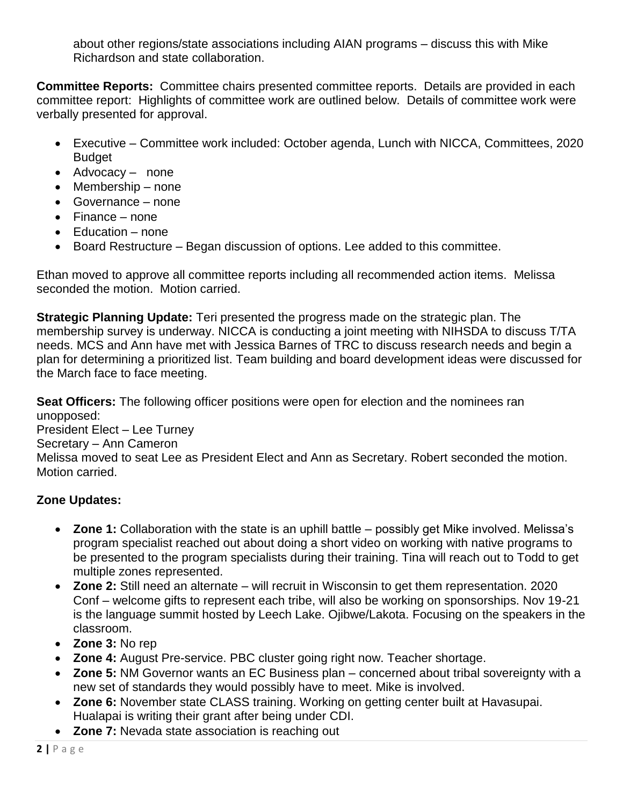about other regions/state associations including AIAN programs – discuss this with Mike Richardson and state collaboration.

**Committee Reports:** Committee chairs presented committee reports. Details are provided in each committee report: Highlights of committee work are outlined below. Details of committee work were verbally presented for approval.

- Executive Committee work included: October agenda, Lunch with NICCA, Committees, 2020 **Budget**
- Advocacy none
- $\bullet$  Membership none
- Governance none
- Finance none
- Education none
- Board Restructure Began discussion of options. Lee added to this committee.

Ethan moved to approve all committee reports including all recommended action items. Melissa seconded the motion. Motion carried.

**Strategic Planning Update:** Teri presented the progress made on the strategic plan. The membership survey is underway. NICCA is conducting a joint meeting with NIHSDA to discuss T/TA needs. MCS and Ann have met with Jessica Barnes of TRC to discuss research needs and begin a plan for determining a prioritized list. Team building and board development ideas were discussed for the March face to face meeting.

**Seat Officers:** The following officer positions were open for election and the nominees ran unopposed:

President Elect – Lee Turney

Secretary – Ann Cameron

Melissa moved to seat Lee as President Elect and Ann as Secretary. Robert seconded the motion. Motion carried.

# **Zone Updates:**

- **Zone 1:** Collaboration with the state is an uphill battle possibly get Mike involved. Melissa's program specialist reached out about doing a short video on working with native programs to be presented to the program specialists during their training. Tina will reach out to Todd to get multiple zones represented.
- **Zone 2:** Still need an alternate will recruit in Wisconsin to get them representation. 2020 Conf – welcome gifts to represent each tribe, will also be working on sponsorships. Nov 19-21 is the language summit hosted by Leech Lake. Ojibwe/Lakota. Focusing on the speakers in the classroom.
- **Zone 3: No rep**
- **Zone 4:** August Pre-service. PBC cluster going right now. Teacher shortage.
- **Zone 5:** NM Governor wants an EC Business plan concerned about tribal sovereignty with a new set of standards they would possibly have to meet. Mike is involved.
- **Zone 6:** November state CLASS training. Working on getting center built at Havasupai. Hualapai is writing their grant after being under CDI.
- **Zone 7:** Nevada state association is reaching out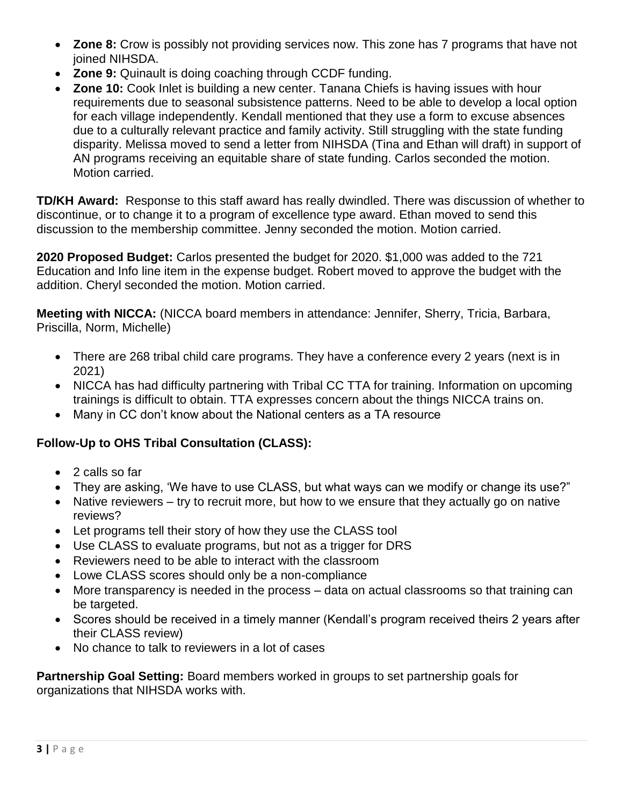- **Zone 8:** Crow is possibly not providing services now. This zone has 7 programs that have not joined NIHSDA.
- **Zone 9:** Quinault is doing coaching through CCDF funding.
- **Zone 10:** Cook Inlet is building a new center. Tanana Chiefs is having issues with hour requirements due to seasonal subsistence patterns. Need to be able to develop a local option for each village independently. Kendall mentioned that they use a form to excuse absences due to a culturally relevant practice and family activity. Still struggling with the state funding disparity. Melissa moved to send a letter from NIHSDA (Tina and Ethan will draft) in support of AN programs receiving an equitable share of state funding. Carlos seconded the motion. Motion carried.

**TD/KH Award:** Response to this staff award has really dwindled. There was discussion of whether to discontinue, or to change it to a program of excellence type award. Ethan moved to send this discussion to the membership committee. Jenny seconded the motion. Motion carried.

**2020 Proposed Budget:** Carlos presented the budget for 2020. \$1,000 was added to the 721 Education and Info line item in the expense budget. Robert moved to approve the budget with the addition. Cheryl seconded the motion. Motion carried.

**Meeting with NICCA:** (NICCA board members in attendance: Jennifer, Sherry, Tricia, Barbara, Priscilla, Norm, Michelle)

- There are 268 tribal child care programs. They have a conference every 2 years (next is in 2021)
- NICCA has had difficulty partnering with Tribal CC TTA for training. Information on upcoming trainings is difficult to obtain. TTA expresses concern about the things NICCA trains on.
- Many in CC don't know about the National centers as a TA resource

# **Follow-Up to OHS Tribal Consultation (CLASS):**

- 2 calls so far
- They are asking, 'We have to use CLASS, but what ways can we modify or change its use?"
- Native reviewers try to recruit more, but how to we ensure that they actually go on native reviews?
- Let programs tell their story of how they use the CLASS tool
- Use CLASS to evaluate programs, but not as a trigger for DRS
- Reviewers need to be able to interact with the classroom
- Lowe CLASS scores should only be a non-compliance
- More transparency is needed in the process data on actual classrooms so that training can be targeted.
- Scores should be received in a timely manner (Kendall's program received theirs 2 years after their CLASS review)
- No chance to talk to reviewers in a lot of cases

**Partnership Goal Setting:** Board members worked in groups to set partnership goals for organizations that NIHSDA works with.